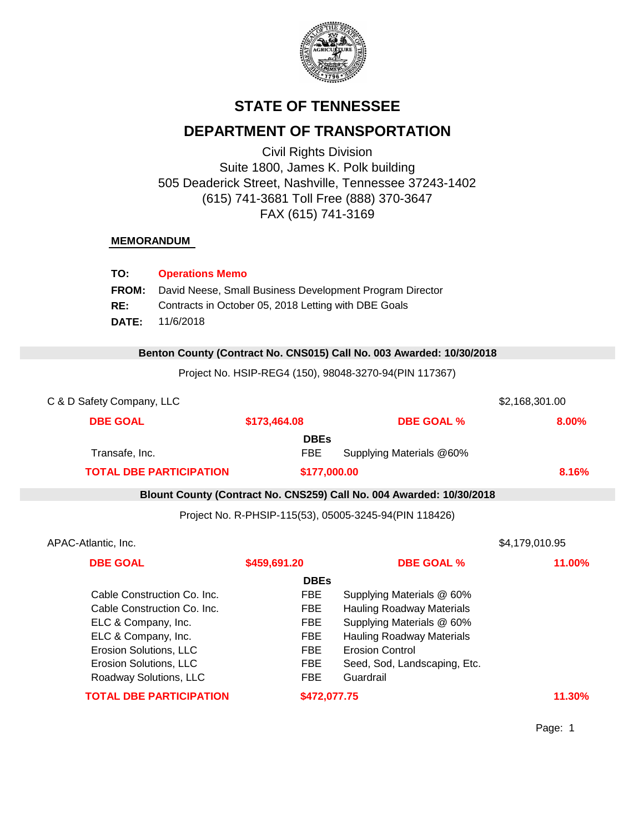

# **STATE OF TENNESSEE**

# **DEPARTMENT OF TRANSPORTATION**

Civil Rights Division Suite 1800, James K. Polk building 505 Deaderick Street, Nashville, Tennessee 37243-1402 (615) 741-3681 Toll Free (888) 370-3647 FAX (615) 741-3169

### **MEMORANDUM**

| TO:          | <b>Operations Memo</b>                                   |
|--------------|----------------------------------------------------------|
| <b>FROM:</b> | David Neese, Small Business Development Program Director |
| RE:          | Contracts in October 05, 2018 Letting with DBE Goals     |
| <b>DATE:</b> | 11/6/2018                                                |

#### 0 **Benton County (Contract No. CNS015) Call No. 003 Awarded: 10/30/2018**

Project No. HSIP-REG4 (150), 98048-3270-94(PIN 117367)

| C & D Safety Company, LLC      |              |                                                                      | \$2,168,301.00 |
|--------------------------------|--------------|----------------------------------------------------------------------|----------------|
| <b>DBE GOAL</b>                | \$173,464.08 | <b>DBE GOAL %</b>                                                    | 8.00%          |
|                                | <b>DBEs</b>  |                                                                      |                |
| Transafe, Inc.                 | <b>FBE</b>   | Supplying Materials @60%                                             |                |
| <b>TOTAL DBE PARTICIPATION</b> | \$177,000.00 |                                                                      | 8.16%          |
|                                |              | Blount County (Contract No. CNS259) Call No. 004 Awarded: 10/30/2018 |                |
|                                |              | Project No. R-PHSIP-115(53), 05005-3245-94(PIN 118426)               |                |
| APAC-Atlantic, Inc.            |              |                                                                      | \$4,179,010.95 |
| <b>DBE GOAL</b>                | \$459,691.20 | <b>DBE GOAL %</b>                                                    | 11.00%         |
|                                | <b>DBEs</b>  |                                                                      |                |
| Cable Construction Co. Inc.    | <b>FBE</b>   | Supplying Materials @ 60%                                            |                |
| Cable Construction Co. Inc.    |              | <b>Hauling Roadway Materials</b>                                     |                |
| ELC & Company, Inc.            |              | Supplying Materials @ 60%                                            |                |
| ELC & Company, Inc.            |              | <b>Hauling Roadway Materials</b>                                     |                |
| Erosion Solutions, LLC         |              | <b>Erosion Control</b>                                               |                |
| Erosion Solutions, LLC         |              | Seed, Sod, Landscaping, Etc.                                         |                |
| Roadway Solutions, LLC         |              | Guardrail                                                            |                |
| <b>TOTAL DBE PARTICIPATION</b> | \$472,077.75 |                                                                      | 11.30%         |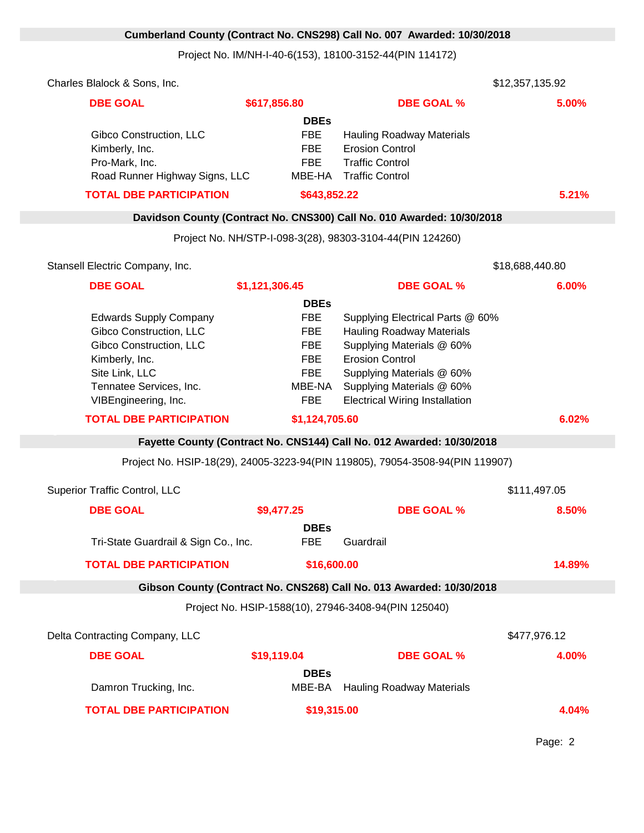## **Cumberland County (Contract No. CNS298) Call No. 007 Awarded: 10/30/2018**

Project No. IM/NH-I-40-6(153), 18100-3152-44(PIN 114172)

| <b>DBE GOAL</b>                                                                                                                                                            | \$617,856.80                                                                               | <b>DBE GOAL %</b>                                                                                                                                                                                                              | 5.00%           |  |
|----------------------------------------------------------------------------------------------------------------------------------------------------------------------------|--------------------------------------------------------------------------------------------|--------------------------------------------------------------------------------------------------------------------------------------------------------------------------------------------------------------------------------|-----------------|--|
| Gibco Construction, LLC<br>Kimberly, Inc.<br>Pro-Mark, Inc.<br>Road Runner Highway Signs, LLC                                                                              | <b>DBEs</b><br><b>FBE</b><br><b>FBE</b><br><b>FBE</b>                                      | <b>Hauling Roadway Materials</b><br><b>Erosion Control</b><br><b>Traffic Control</b><br>MBE-HA Traffic Control                                                                                                                 |                 |  |
| <b>TOTAL DBE PARTICIPATION</b>                                                                                                                                             | \$643,852.22                                                                               |                                                                                                                                                                                                                                | 5.21%           |  |
|                                                                                                                                                                            |                                                                                            | Davidson County (Contract No. CNS300) Call No. 010 Awarded: 10/30/2018                                                                                                                                                         |                 |  |
|                                                                                                                                                                            |                                                                                            | Project No. NH/STP-I-098-3(28), 98303-3104-44(PIN 124260)                                                                                                                                                                      |                 |  |
| Stansell Electric Company, Inc.                                                                                                                                            |                                                                                            |                                                                                                                                                                                                                                | \$18,688,440.80 |  |
| <b>DBE GOAL</b>                                                                                                                                                            | \$1,121,306.45                                                                             | <b>DBE GOAL %</b>                                                                                                                                                                                                              | 6.00%           |  |
|                                                                                                                                                                            | <b>DBEs</b>                                                                                |                                                                                                                                                                                                                                |                 |  |
| <b>Edwards Supply Company</b><br>Gibco Construction, LLC<br>Gibco Construction, LLC<br>Kimberly, Inc.<br>Site Link, LLC<br>Tennatee Services, Inc.<br>VIBEngineering, Inc. | <b>FBE</b><br><b>FBE</b><br><b>FBE</b><br><b>FBE</b><br><b>FBE</b><br>MBE-NA<br><b>FBE</b> | Supplying Electrical Parts @ 60%<br><b>Hauling Roadway Materials</b><br>Supplying Materials @ 60%<br><b>Erosion Control</b><br>Supplying Materials @ 60%<br>Supplying Materials @ 60%<br><b>Electrical Wiring Installation</b> |                 |  |
| <b>TOTAL DBE PARTICIPATION</b>                                                                                                                                             | \$1,124,705.60                                                                             |                                                                                                                                                                                                                                | 6.02%           |  |
|                                                                                                                                                                            |                                                                                            | Fayette County (Contract No. CNS144) Call No. 012 Awarded: 10/30/2018                                                                                                                                                          |                 |  |
| Project No. HSIP-18(29), 24005-3223-94(PIN 119805), 79054-3508-94(PIN 119907)                                                                                              |                                                                                            |                                                                                                                                                                                                                                |                 |  |
| <b>Superior Traffic Control, LLC</b>                                                                                                                                       |                                                                                            |                                                                                                                                                                                                                                | \$111,497.05    |  |
| <b>DBE GOAL</b>                                                                                                                                                            | \$9,477.25                                                                                 | <b>DBE GOAL %</b>                                                                                                                                                                                                              | 8.50%           |  |
| Tri-State Guardrail & Sign Co., Inc.                                                                                                                                       | <b>DBEs</b><br><b>FBE</b>                                                                  | Guardrail                                                                                                                                                                                                                      |                 |  |
| <b>TOTAL DBE PARTICIPATION</b>                                                                                                                                             | \$16,600.00                                                                                |                                                                                                                                                                                                                                | 14.89%          |  |
|                                                                                                                                                                            |                                                                                            |                                                                                                                                                                                                                                |                 |  |
|                                                                                                                                                                            |                                                                                            | Gibson County (Contract No. CNS268) Call No. 013 Awarded: 10/30/2018<br>Project No. HSIP-1588(10), 27946-3408-94(PIN 125040)                                                                                                   |                 |  |
|                                                                                                                                                                            |                                                                                            |                                                                                                                                                                                                                                |                 |  |
| Delta Contracting Company, LLC                                                                                                                                             |                                                                                            |                                                                                                                                                                                                                                | \$477,976.12    |  |
| <b>DBE GOAL</b>                                                                                                                                                            | \$19,119.04                                                                                | <b>DBE GOAL %</b>                                                                                                                                                                                                              | 4.00%           |  |
| Damron Trucking, Inc.                                                                                                                                                      | <b>DBEs</b><br>MBE-BA                                                                      | <b>Hauling Roadway Materials</b>                                                                                                                                                                                               |                 |  |
| <b>TOTAL DBE PARTICIPATION</b>                                                                                                                                             | \$19,315.00                                                                                |                                                                                                                                                                                                                                | 4.04%           |  |

Page: 2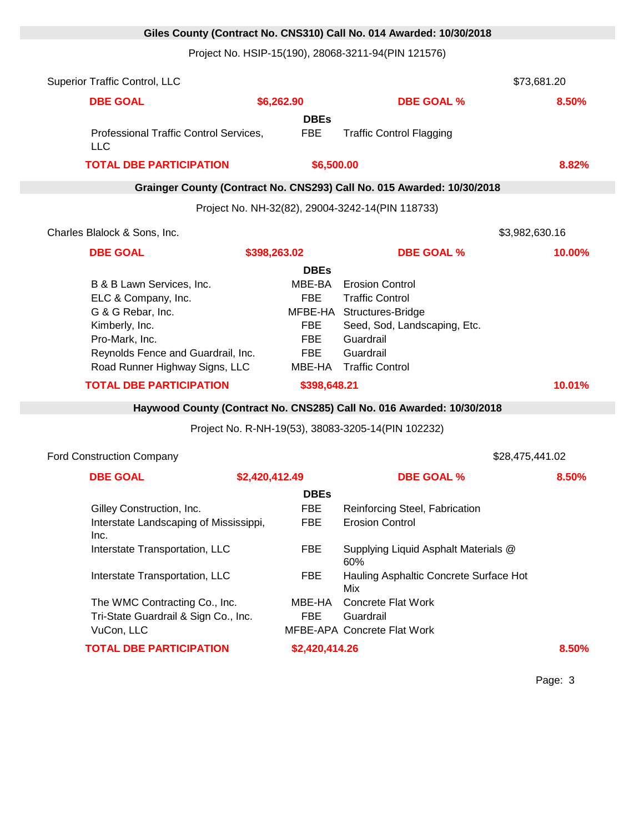## **Giles County (Contract No. CNS310) Call No. 014 Awarded: 10/30/2018**

Project No. HSIP-15(190), 28068-3211-94(PIN 121576)

|                                      |                                                                                                                                                                                                                                                                                        |                                                                                                                                     | 8.50%                                                                                                                                                                                                                                                                                                                                                                                                                                           |
|--------------------------------------|----------------------------------------------------------------------------------------------------------------------------------------------------------------------------------------------------------------------------------------------------------------------------------------|-------------------------------------------------------------------------------------------------------------------------------------|-------------------------------------------------------------------------------------------------------------------------------------------------------------------------------------------------------------------------------------------------------------------------------------------------------------------------------------------------------------------------------------------------------------------------------------------------|
|                                      |                                                                                                                                                                                                                                                                                        |                                                                                                                                     |                                                                                                                                                                                                                                                                                                                                                                                                                                                 |
|                                      | <b>FBE</b>                                                                                                                                                                                                                                                                             | <b>Traffic Control Flagging</b>                                                                                                     |                                                                                                                                                                                                                                                                                                                                                                                                                                                 |
|                                      |                                                                                                                                                                                                                                                                                        |                                                                                                                                     | 8.82%                                                                                                                                                                                                                                                                                                                                                                                                                                           |
|                                      |                                                                                                                                                                                                                                                                                        |                                                                                                                                     |                                                                                                                                                                                                                                                                                                                                                                                                                                                 |
|                                      |                                                                                                                                                                                                                                                                                        |                                                                                                                                     |                                                                                                                                                                                                                                                                                                                                                                                                                                                 |
|                                      |                                                                                                                                                                                                                                                                                        |                                                                                                                                     | \$3,982,630.16                                                                                                                                                                                                                                                                                                                                                                                                                                  |
|                                      |                                                                                                                                                                                                                                                                                        | <b>DBE GOAL %</b>                                                                                                                   | 10.00%                                                                                                                                                                                                                                                                                                                                                                                                                                          |
|                                      |                                                                                                                                                                                                                                                                                        |                                                                                                                                     |                                                                                                                                                                                                                                                                                                                                                                                                                                                 |
|                                      | MBE-BA                                                                                                                                                                                                                                                                                 | <b>Erosion Control</b>                                                                                                              |                                                                                                                                                                                                                                                                                                                                                                                                                                                 |
|                                      | <b>FBE</b>                                                                                                                                                                                                                                                                             | <b>Traffic Control</b>                                                                                                              |                                                                                                                                                                                                                                                                                                                                                                                                                                                 |
|                                      |                                                                                                                                                                                                                                                                                        |                                                                                                                                     |                                                                                                                                                                                                                                                                                                                                                                                                                                                 |
|                                      |                                                                                                                                                                                                                                                                                        |                                                                                                                                     |                                                                                                                                                                                                                                                                                                                                                                                                                                                 |
|                                      | <b>FBE</b>                                                                                                                                                                                                                                                                             | Guardrail                                                                                                                           |                                                                                                                                                                                                                                                                                                                                                                                                                                                 |
|                                      | <b>FBE</b>                                                                                                                                                                                                                                                                             | Guardrail                                                                                                                           |                                                                                                                                                                                                                                                                                                                                                                                                                                                 |
|                                      |                                                                                                                                                                                                                                                                                        | <b>Traffic Control</b>                                                                                                              |                                                                                                                                                                                                                                                                                                                                                                                                                                                 |
|                                      |                                                                                                                                                                                                                                                                                        |                                                                                                                                     | 10.01%                                                                                                                                                                                                                                                                                                                                                                                                                                          |
|                                      |                                                                                                                                                                                                                                                                                        |                                                                                                                                     |                                                                                                                                                                                                                                                                                                                                                                                                                                                 |
|                                      |                                                                                                                                                                                                                                                                                        |                                                                                                                                     |                                                                                                                                                                                                                                                                                                                                                                                                                                                 |
|                                      |                                                                                                                                                                                                                                                                                        |                                                                                                                                     | \$28,475,441.02                                                                                                                                                                                                                                                                                                                                                                                                                                 |
|                                      |                                                                                                                                                                                                                                                                                        | <b>DBE GOAL %</b>                                                                                                                   | 8.50%                                                                                                                                                                                                                                                                                                                                                                                                                                           |
|                                      |                                                                                                                                                                                                                                                                                        |                                                                                                                                     |                                                                                                                                                                                                                                                                                                                                                                                                                                                 |
|                                      |                                                                                                                                                                                                                                                                                        |                                                                                                                                     |                                                                                                                                                                                                                                                                                                                                                                                                                                                 |
|                                      |                                                                                                                                                                                                                                                                                        |                                                                                                                                     |                                                                                                                                                                                                                                                                                                                                                                                                                                                 |
|                                      |                                                                                                                                                                                                                                                                                        |                                                                                                                                     |                                                                                                                                                                                                                                                                                                                                                                                                                                                 |
| Interstate Transportation, LLC       | <b>FBE</b>                                                                                                                                                                                                                                                                             | Supplying Liquid Asphalt Materials @                                                                                                |                                                                                                                                                                                                                                                                                                                                                                                                                                                 |
|                                      |                                                                                                                                                                                                                                                                                        | 60%                                                                                                                                 |                                                                                                                                                                                                                                                                                                                                                                                                                                                 |
|                                      |                                                                                                                                                                                                                                                                                        |                                                                                                                                     |                                                                                                                                                                                                                                                                                                                                                                                                                                                 |
| Interstate Transportation, LLC       | <b>FBE</b>                                                                                                                                                                                                                                                                             | Hauling Asphaltic Concrete Surface Hot<br>Mix                                                                                       |                                                                                                                                                                                                                                                                                                                                                                                                                                                 |
| The WMC Contracting Co., Inc.        | MBE-HA                                                                                                                                                                                                                                                                                 | Concrete Flat Work                                                                                                                  |                                                                                                                                                                                                                                                                                                                                                                                                                                                 |
| Tri-State Guardrail & Sign Co., Inc. | <b>FBE</b>                                                                                                                                                                                                                                                                             | Guardrail                                                                                                                           |                                                                                                                                                                                                                                                                                                                                                                                                                                                 |
|                                      | Professional Traffic Control Services,<br><b>TOTAL DBE PARTICIPATION</b><br>B & B Lawn Services, Inc.<br>Reynolds Fence and Guardrail, Inc.<br>Road Runner Highway Signs, LLC<br><b>TOTAL DBE PARTICIPATION</b><br>Gilley Construction, Inc.<br>Interstate Landscaping of Mississippi, | \$6,262.90<br><b>DBEs</b><br>\$398,263.02<br><b>DBEs</b><br><b>FBE</b><br>\$2,420,412.49<br><b>DBEs</b><br><b>FBE</b><br><b>FBE</b> | <b>DBE GOAL %</b><br>\$6,500.00<br>Grainger County (Contract No. CNS293) Call No. 015 Awarded: 10/30/2018<br>Project No. NH-32(82), 29004-3242-14(PIN 118733)<br>MFBE-HA Structures-Bridge<br>Seed, Sod, Landscaping, Etc.<br>MBE-HA<br>\$398,648.21<br>Haywood County (Contract No. CNS285) Call No. 016 Awarded: 10/30/2018<br>Project No. R-NH-19(53), 38083-3205-14(PIN 102232)<br>Reinforcing Steel, Fabrication<br><b>Erosion Control</b> |

Page: 3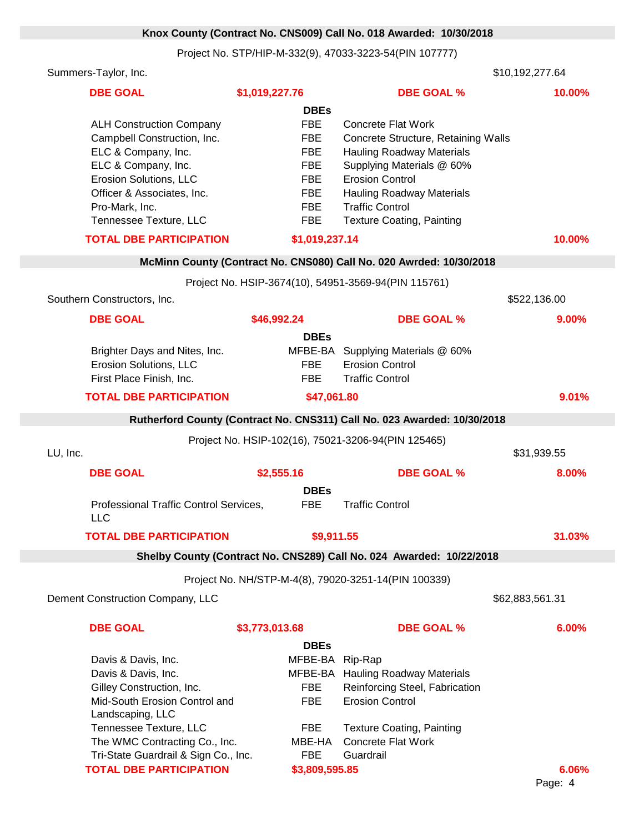## **Knox County (Contract No. CNS009) Call No. 018 Awarded: 10/30/2018**

Project No. STP/HIP-M-332(9), 47033-3223-54(PIN 107777)

| Summers-Taylor, Inc.           |                                                                                                                                                                                                                                                                                                                                                                                                                                                                                                                                                             |                                                                                                                                                                                                                                                                                                                                                                               | \$10,192,277.64                                                                                                                                                                                                                                                                                                                                                                                                                                                                                                                                                                                                                                                                                                                                                                                                                                                                                                                                                                                                |
|--------------------------------|-------------------------------------------------------------------------------------------------------------------------------------------------------------------------------------------------------------------------------------------------------------------------------------------------------------------------------------------------------------------------------------------------------------------------------------------------------------------------------------------------------------------------------------------------------------|-------------------------------------------------------------------------------------------------------------------------------------------------------------------------------------------------------------------------------------------------------------------------------------------------------------------------------------------------------------------------------|----------------------------------------------------------------------------------------------------------------------------------------------------------------------------------------------------------------------------------------------------------------------------------------------------------------------------------------------------------------------------------------------------------------------------------------------------------------------------------------------------------------------------------------------------------------------------------------------------------------------------------------------------------------------------------------------------------------------------------------------------------------------------------------------------------------------------------------------------------------------------------------------------------------------------------------------------------------------------------------------------------------|
| <b>DBE GOAL</b>                | \$1,019,227.76                                                                                                                                                                                                                                                                                                                                                                                                                                                                                                                                              | <b>DBE GOAL %</b>                                                                                                                                                                                                                                                                                                                                                             | 10.00%                                                                                                                                                                                                                                                                                                                                                                                                                                                                                                                                                                                                                                                                                                                                                                                                                                                                                                                                                                                                         |
|                                | <b>DBEs</b>                                                                                                                                                                                                                                                                                                                                                                                                                                                                                                                                                 |                                                                                                                                                                                                                                                                                                                                                                               |                                                                                                                                                                                                                                                                                                                                                                                                                                                                                                                                                                                                                                                                                                                                                                                                                                                                                                                                                                                                                |
|                                | <b>FBE</b>                                                                                                                                                                                                                                                                                                                                                                                                                                                                                                                                                  | <b>Concrete Flat Work</b>                                                                                                                                                                                                                                                                                                                                                     |                                                                                                                                                                                                                                                                                                                                                                                                                                                                                                                                                                                                                                                                                                                                                                                                                                                                                                                                                                                                                |
|                                |                                                                                                                                                                                                                                                                                                                                                                                                                                                                                                                                                             |                                                                                                                                                                                                                                                                                                                                                                               |                                                                                                                                                                                                                                                                                                                                                                                                                                                                                                                                                                                                                                                                                                                                                                                                                                                                                                                                                                                                                |
|                                |                                                                                                                                                                                                                                                                                                                                                                                                                                                                                                                                                             |                                                                                                                                                                                                                                                                                                                                                                               |                                                                                                                                                                                                                                                                                                                                                                                                                                                                                                                                                                                                                                                                                                                                                                                                                                                                                                                                                                                                                |
|                                |                                                                                                                                                                                                                                                                                                                                                                                                                                                                                                                                                             |                                                                                                                                                                                                                                                                                                                                                                               |                                                                                                                                                                                                                                                                                                                                                                                                                                                                                                                                                                                                                                                                                                                                                                                                                                                                                                                                                                                                                |
|                                |                                                                                                                                                                                                                                                                                                                                                                                                                                                                                                                                                             |                                                                                                                                                                                                                                                                                                                                                                               |                                                                                                                                                                                                                                                                                                                                                                                                                                                                                                                                                                                                                                                                                                                                                                                                                                                                                                                                                                                                                |
|                                |                                                                                                                                                                                                                                                                                                                                                                                                                                                                                                                                                             |                                                                                                                                                                                                                                                                                                                                                                               |                                                                                                                                                                                                                                                                                                                                                                                                                                                                                                                                                                                                                                                                                                                                                                                                                                                                                                                                                                                                                |
|                                |                                                                                                                                                                                                                                                                                                                                                                                                                                                                                                                                                             |                                                                                                                                                                                                                                                                                                                                                                               |                                                                                                                                                                                                                                                                                                                                                                                                                                                                                                                                                                                                                                                                                                                                                                                                                                                                                                                                                                                                                |
|                                |                                                                                                                                                                                                                                                                                                                                                                                                                                                                                                                                                             |                                                                                                                                                                                                                                                                                                                                                                               |                                                                                                                                                                                                                                                                                                                                                                                                                                                                                                                                                                                                                                                                                                                                                                                                                                                                                                                                                                                                                |
|                                |                                                                                                                                                                                                                                                                                                                                                                                                                                                                                                                                                             |                                                                                                                                                                                                                                                                                                                                                                               |                                                                                                                                                                                                                                                                                                                                                                                                                                                                                                                                                                                                                                                                                                                                                                                                                                                                                                                                                                                                                |
|                                |                                                                                                                                                                                                                                                                                                                                                                                                                                                                                                                                                             |                                                                                                                                                                                                                                                                                                                                                                               | 10.00%                                                                                                                                                                                                                                                                                                                                                                                                                                                                                                                                                                                                                                                                                                                                                                                                                                                                                                                                                                                                         |
|                                |                                                                                                                                                                                                                                                                                                                                                                                                                                                                                                                                                             |                                                                                                                                                                                                                                                                                                                                                                               |                                                                                                                                                                                                                                                                                                                                                                                                                                                                                                                                                                                                                                                                                                                                                                                                                                                                                                                                                                                                                |
|                                |                                                                                                                                                                                                                                                                                                                                                                                                                                                                                                                                                             |                                                                                                                                                                                                                                                                                                                                                                               |                                                                                                                                                                                                                                                                                                                                                                                                                                                                                                                                                                                                                                                                                                                                                                                                                                                                                                                                                                                                                |
| Southern Constructors, Inc.    |                                                                                                                                                                                                                                                                                                                                                                                                                                                                                                                                                             |                                                                                                                                                                                                                                                                                                                                                                               | \$522,136.00                                                                                                                                                                                                                                                                                                                                                                                                                                                                                                                                                                                                                                                                                                                                                                                                                                                                                                                                                                                                   |
| <b>DBE GOAL</b>                | \$46,992.24                                                                                                                                                                                                                                                                                                                                                                                                                                                                                                                                                 | <b>DBE GOAL %</b>                                                                                                                                                                                                                                                                                                                                                             | 9.00%                                                                                                                                                                                                                                                                                                                                                                                                                                                                                                                                                                                                                                                                                                                                                                                                                                                                                                                                                                                                          |
|                                | <b>DBEs</b>                                                                                                                                                                                                                                                                                                                                                                                                                                                                                                                                                 |                                                                                                                                                                                                                                                                                                                                                                               |                                                                                                                                                                                                                                                                                                                                                                                                                                                                                                                                                                                                                                                                                                                                                                                                                                                                                                                                                                                                                |
|                                |                                                                                                                                                                                                                                                                                                                                                                                                                                                                                                                                                             |                                                                                                                                                                                                                                                                                                                                                                               |                                                                                                                                                                                                                                                                                                                                                                                                                                                                                                                                                                                                                                                                                                                                                                                                                                                                                                                                                                                                                |
|                                |                                                                                                                                                                                                                                                                                                                                                                                                                                                                                                                                                             |                                                                                                                                                                                                                                                                                                                                                                               |                                                                                                                                                                                                                                                                                                                                                                                                                                                                                                                                                                                                                                                                                                                                                                                                                                                                                                                                                                                                                |
|                                |                                                                                                                                                                                                                                                                                                                                                                                                                                                                                                                                                             |                                                                                                                                                                                                                                                                                                                                                                               |                                                                                                                                                                                                                                                                                                                                                                                                                                                                                                                                                                                                                                                                                                                                                                                                                                                                                                                                                                                                                |
|                                |                                                                                                                                                                                                                                                                                                                                                                                                                                                                                                                                                             |                                                                                                                                                                                                                                                                                                                                                                               |                                                                                                                                                                                                                                                                                                                                                                                                                                                                                                                                                                                                                                                                                                                                                                                                                                                                                                                                                                                                                |
|                                |                                                                                                                                                                                                                                                                                                                                                                                                                                                                                                                                                             |                                                                                                                                                                                                                                                                                                                                                                               | 9.01%                                                                                                                                                                                                                                                                                                                                                                                                                                                                                                                                                                                                                                                                                                                                                                                                                                                                                                                                                                                                          |
|                                |                                                                                                                                                                                                                                                                                                                                                                                                                                                                                                                                                             |                                                                                                                                                                                                                                                                                                                                                                               |                                                                                                                                                                                                                                                                                                                                                                                                                                                                                                                                                                                                                                                                                                                                                                                                                                                                                                                                                                                                                |
|                                |                                                                                                                                                                                                                                                                                                                                                                                                                                                                                                                                                             |                                                                                                                                                                                                                                                                                                                                                                               |                                                                                                                                                                                                                                                                                                                                                                                                                                                                                                                                                                                                                                                                                                                                                                                                                                                                                                                                                                                                                |
| LU, Inc.                       |                                                                                                                                                                                                                                                                                                                                                                                                                                                                                                                                                             |                                                                                                                                                                                                                                                                                                                                                                               | \$31,939.55                                                                                                                                                                                                                                                                                                                                                                                                                                                                                                                                                                                                                                                                                                                                                                                                                                                                                                                                                                                                    |
|                                |                                                                                                                                                                                                                                                                                                                                                                                                                                                                                                                                                             |                                                                                                                                                                                                                                                                                                                                                                               | 8.00%                                                                                                                                                                                                                                                                                                                                                                                                                                                                                                                                                                                                                                                                                                                                                                                                                                                                                                                                                                                                          |
|                                |                                                                                                                                                                                                                                                                                                                                                                                                                                                                                                                                                             |                                                                                                                                                                                                                                                                                                                                                                               |                                                                                                                                                                                                                                                                                                                                                                                                                                                                                                                                                                                                                                                                                                                                                                                                                                                                                                                                                                                                                |
|                                |                                                                                                                                                                                                                                                                                                                                                                                                                                                                                                                                                             |                                                                                                                                                                                                                                                                                                                                                                               |                                                                                                                                                                                                                                                                                                                                                                                                                                                                                                                                                                                                                                                                                                                                                                                                                                                                                                                                                                                                                |
| <b>LLC</b>                     |                                                                                                                                                                                                                                                                                                                                                                                                                                                                                                                                                             |                                                                                                                                                                                                                                                                                                                                                                               |                                                                                                                                                                                                                                                                                                                                                                                                                                                                                                                                                                                                                                                                                                                                                                                                                                                                                                                                                                                                                |
| <b>TOTAL DBE PARTICIPATION</b> |                                                                                                                                                                                                                                                                                                                                                                                                                                                                                                                                                             |                                                                                                                                                                                                                                                                                                                                                                               | 31.03%                                                                                                                                                                                                                                                                                                                                                                                                                                                                                                                                                                                                                                                                                                                                                                                                                                                                                                                                                                                                         |
|                                |                                                                                                                                                                                                                                                                                                                                                                                                                                                                                                                                                             |                                                                                                                                                                                                                                                                                                                                                                               |                                                                                                                                                                                                                                                                                                                                                                                                                                                                                                                                                                                                                                                                                                                                                                                                                                                                                                                                                                                                                |
|                                |                                                                                                                                                                                                                                                                                                                                                                                                                                                                                                                                                             |                                                                                                                                                                                                                                                                                                                                                                               |                                                                                                                                                                                                                                                                                                                                                                                                                                                                                                                                                                                                                                                                                                                                                                                                                                                                                                                                                                                                                |
|                                |                                                                                                                                                                                                                                                                                                                                                                                                                                                                                                                                                             |                                                                                                                                                                                                                                                                                                                                                                               | \$62,883,561.31                                                                                                                                                                                                                                                                                                                                                                                                                                                                                                                                                                                                                                                                                                                                                                                                                                                                                                                                                                                                |
|                                |                                                                                                                                                                                                                                                                                                                                                                                                                                                                                                                                                             |                                                                                                                                                                                                                                                                                                                                                                               |                                                                                                                                                                                                                                                                                                                                                                                                                                                                                                                                                                                                                                                                                                                                                                                                                                                                                                                                                                                                                |
| <b>DBE GOAL</b>                | \$3,773,013.68                                                                                                                                                                                                                                                                                                                                                                                                                                                                                                                                              | <b>DBE GOAL %</b>                                                                                                                                                                                                                                                                                                                                                             | 6.00%                                                                                                                                                                                                                                                                                                                                                                                                                                                                                                                                                                                                                                                                                                                                                                                                                                                                                                                                                                                                          |
|                                | <b>DBEs</b>                                                                                                                                                                                                                                                                                                                                                                                                                                                                                                                                                 |                                                                                                                                                                                                                                                                                                                                                                               |                                                                                                                                                                                                                                                                                                                                                                                                                                                                                                                                                                                                                                                                                                                                                                                                                                                                                                                                                                                                                |
|                                |                                                                                                                                                                                                                                                                                                                                                                                                                                                                                                                                                             |                                                                                                                                                                                                                                                                                                                                                                               |                                                                                                                                                                                                                                                                                                                                                                                                                                                                                                                                                                                                                                                                                                                                                                                                                                                                                                                                                                                                                |
|                                |                                                                                                                                                                                                                                                                                                                                                                                                                                                                                                                                                             |                                                                                                                                                                                                                                                                                                                                                                               |                                                                                                                                                                                                                                                                                                                                                                                                                                                                                                                                                                                                                                                                                                                                                                                                                                                                                                                                                                                                                |
|                                |                                                                                                                                                                                                                                                                                                                                                                                                                                                                                                                                                             |                                                                                                                                                                                                                                                                                                                                                                               |                                                                                                                                                                                                                                                                                                                                                                                                                                                                                                                                                                                                                                                                                                                                                                                                                                                                                                                                                                                                                |
|                                |                                                                                                                                                                                                                                                                                                                                                                                                                                                                                                                                                             |                                                                                                                                                                                                                                                                                                                                                                               |                                                                                                                                                                                                                                                                                                                                                                                                                                                                                                                                                                                                                                                                                                                                                                                                                                                                                                                                                                                                                |
|                                |                                                                                                                                                                                                                                                                                                                                                                                                                                                                                                                                                             |                                                                                                                                                                                                                                                                                                                                                                               |                                                                                                                                                                                                                                                                                                                                                                                                                                                                                                                                                                                                                                                                                                                                                                                                                                                                                                                                                                                                                |
|                                |                                                                                                                                                                                                                                                                                                                                                                                                                                                                                                                                                             |                                                                                                                                                                                                                                                                                                                                                                               |                                                                                                                                                                                                                                                                                                                                                                                                                                                                                                                                                                                                                                                                                                                                                                                                                                                                                                                                                                                                                |
|                                |                                                                                                                                                                                                                                                                                                                                                                                                                                                                                                                                                             |                                                                                                                                                                                                                                                                                                                                                                               |                                                                                                                                                                                                                                                                                                                                                                                                                                                                                                                                                                                                                                                                                                                                                                                                                                                                                                                                                                                                                |
|                                | <b>FBE</b>                                                                                                                                                                                                                                                                                                                                                                                                                                                                                                                                                  | Guardrail                                                                                                                                                                                                                                                                                                                                                                     |                                                                                                                                                                                                                                                                                                                                                                                                                                                                                                                                                                                                                                                                                                                                                                                                                                                                                                                                                                                                                |
|                                | <b>ALH Construction Company</b><br>Campbell Construction, Inc.<br>ELC & Company, Inc.<br>ELC & Company, Inc.<br>Erosion Solutions, LLC<br>Officer & Associates, Inc.<br>Pro-Mark, Inc.<br>Tennessee Texture, LLC<br><b>TOTAL DBE PARTICIPATION</b><br>Brighter Days and Nites, Inc.<br>Erosion Solutions, LLC<br>First Place Finish, Inc.<br><b>TOTAL DBE PARTICIPATION</b><br><b>DBE GOAL</b><br>Dement Construction Company, LLC<br>Davis & Davis, Inc.<br>Davis & Davis, Inc.<br>Gilley Construction, Inc.<br>Landscaping, LLC<br>Tennessee Texture, LLC | <b>FBE</b><br><b>FBE</b><br><b>FBE</b><br><b>FBE</b><br><b>FBE</b><br><b>FBE</b><br><b>FBE</b><br><b>FBE</b><br><b>FBE</b><br>\$2,555.16<br><b>DBEs</b><br><b>FBE</b><br>Professional Traffic Control Services,<br><b>FBE</b><br>Mid-South Erosion Control and<br><b>FBE</b><br><b>FBE</b><br>The WMC Contracting Co., Inc.<br>MBE-HA<br>Tri-State Guardrail & Sign Co., Inc. | Concrete Structure, Retaining Walls<br><b>Hauling Roadway Materials</b><br>Supplying Materials @ 60%<br><b>Erosion Control</b><br><b>Hauling Roadway Materials</b><br><b>Traffic Control</b><br><b>Texture Coating, Painting</b><br>\$1,019,237.14<br>McMinn County (Contract No. CNS080) Call No. 020 Awrded: 10/30/2018<br>Project No. HSIP-3674(10), 54951-3569-94(PIN 115761)<br>MFBE-BA Supplying Materials @ 60%<br><b>Erosion Control</b><br><b>Traffic Control</b><br>\$47,061.80<br>Rutherford County (Contract No. CNS311) Call No. 023 Awarded: 10/30/2018<br>Project No. HSIP-102(16), 75021-3206-94(PIN 125465)<br><b>DBE GOAL %</b><br><b>Traffic Control</b><br>\$9,911.55<br>Shelby County (Contract No. CNS289) Call No. 024 Awarded: 10/22/2018<br>Project No. NH/STP-M-4(8), 79020-3251-14(PIN 100339)<br>MFBE-BA Rip-Rap<br>MFBE-BA Hauling Roadway Materials<br>Reinforcing Steel, Fabrication<br><b>Erosion Control</b><br><b>Texture Coating, Painting</b><br><b>Concrete Flat Work</b> |

**TOTAL DBE PARTICIPATION \$3,809,595.85 6.06%**